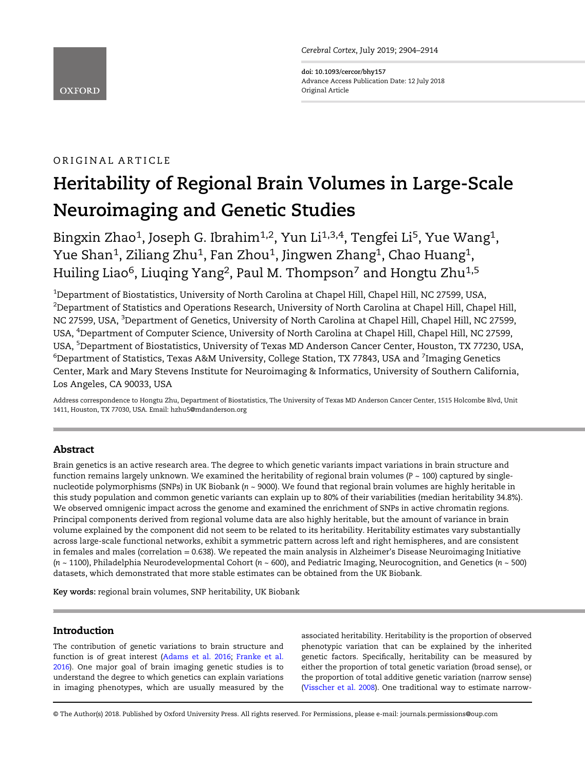Cerebral Cortex, July 2019; 2904–2914

doi: 10.1093/cercor/bhy157 Advance Access Publication Date: 12 July 2018 Original Article

## ORIGINAL ARTICLE

# Heritability of Regional Brain Volumes in Large-Scale Neuroimaging and Genetic Studies

Bingxin Zhao<sup>1</sup>, Joseph G. Ibrahim<sup>1,2</sup>, Yun Li<sup>1,3,4</sup>, Tengfei Li<sup>5</sup>, Yue Wang<sup>1</sup>, Yue Shan<sup>1</sup>, Ziliang Zhu<sup>1</sup>, Fan Zhou<sup>1</sup>, Jingwen Zhang<sup>1</sup>, Chao Huang<sup>1</sup>, Huiling Liao<sup>6</sup>, Liuqing Yang<sup>2</sup>, Paul M. Thompson<sup>7</sup> and Hongtu Zhu<sup>1,5</sup>

 $^{\rm 1}$ Department of Biostatistics, University of North Carolina at Chapel Hill, Chapel Hill, NC 27599, USA,  $^2$ Department of Statistics and Operations Research, University of North Carolina at Chapel Hill, Chapel Hill, NC 27599, USA, <sup>3</sup>Department of Genetics, University of North Carolina at Chapel Hill, Chapel Hill, NC 27599, USA, <sup>4</sup>Department of Computer Science, University of North Carolina at Chapel Hill, Chapel Hill, NC 27599, USA, <sup>5</sup>Department of Biostatistics, University of Texas MD Anderson Cancer Center, Houston, TX 77230, USA,  $^6$ Department of Statistics, Texas A&M University, College Station, TX 77843, USA and  $^7$ Imaging Genetics Center, Mark and Mary Stevens Institute for Neuroimaging & Informatics, University of Southern California, Los Angeles, CA 90033, USA

Address correspondence to Hongtu Zhu, Department of Biostatistics, The University of Texas MD Anderson Cancer Center, 1515 Holcombe Blvd, Unit 1411, Houston, TX 77030, USA. Email: hzhu5@mdanderson.org

## Abstract

Brain genetics is an active research area. The degree to which genetic variants impact variations in brain structure and function remains largely unknown. We examined the heritability of regional brain volumes ( $P \sim 100$ ) captured by singlenucleotide polymorphisms (SNPs) in UK Biobank (n ~ 9000). We found that regional brain volumes are highly heritable in this study population and common genetic variants can explain up to 80% of their variabilities (median heritability 34.8%). We observed omnigenic impact across the genome and examined the enrichment of SNPs in active chromatin regions. Principal components derived from regional volume data are also highly heritable, but the amount of variance in brain volume explained by the component did not seem to be related to its heritability. Heritability estimates vary substantially across large-scale functional networks, exhibit a symmetric pattern across left and right hemispheres, and are consistent in females and males (correlation = 0.638). We repeated the main analysis in Alzheimer's Disease Neuroimaging Initiative ( $n \sim 1100$ ), Philadelphia Neurodevelopmental Cohort ( $n \sim 600$ ), and Pediatric Imaging, Neurocognition, and Genetics ( $n \sim 500$ ) datasets, which demonstrated that more stable estimates can be obtained from the UK Biobank.

Key words: regional brain volumes, SNP heritability, UK Biobank

## Introduction

The contribution of genetic variations to brain structure and function is of great interest ([Adams et al. 2016](#page-8-0); [Franke et al.](#page-9-0) [2016\)](#page-9-0). One major goal of brain imaging genetic studies is to understand the degree to which genetics can explain variations in imaging phenotypes, which are usually measured by the

associated heritability. Heritability is the proportion of observed phenotypic variation that can be explained by the inherited genetic factors. Specifically, heritability can be measured by either the proportion of total genetic variation (broad sense), or the proportion of total additive genetic variation (narrow sense) [\(Visscher et al. 2008\)](#page-10-0). One traditional way to estimate narrow-

© The Author(s) 2018. Published by Oxford University Press. All rights reserved. For Permissions, please e-mail: journals.permissions@oup.com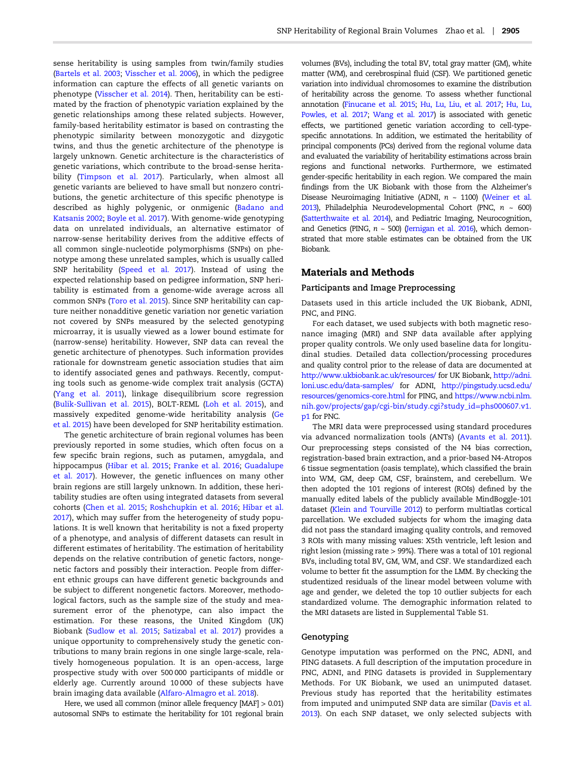sense heritability is using samples from twin/family studies [\(Bartels et al. 2003](#page-8-0); [Visscher et al. 2006\)](#page-10-0), in which the pedigree information can capture the effects of all genetic variants on phenotype [\(Visscher et al. 2014](#page-10-0)). Then, heritability can be estimated by the fraction of phenotypic variation explained by the genetic relationships among these related subjects. However, family-based heritability estimator is based on contrasting the phenotypic similarity between monozygotic and dizygotic twins, and thus the genetic architecture of the phenotype is largely unknown. Genetic architecture is the characteristics of genetic variations, which contribute to the broad-sense heritability ([Timpson et al. 2017](#page-10-0)). Particularly, when almost all genetic variants are believed to have small but nonzero contributions, the genetic architecture of this specific phenotype is described as highly polygenic, or onmigenic ([Badano and](#page-8-0) [Katsanis 2002](#page-8-0); [Boyle et al. 2017](#page-8-0)). With genome-wide genotyping data on unrelated individuals, an alternative estimator of narrow-sense heritability derives from the additive effects of all common single-nucleotide polymorphisms (SNPs) on phenotype among these unrelated samples, which is usually called SNP heritability ([Speed et al. 2017](#page-10-0)). Instead of using the expected relationship based on pedigree information, SNP heritability is estimated from a genome-wide average across all common SNPs [\(Toro et al. 2015](#page-10-0)). Since SNP heritability can capture neither nonadditive genetic variation nor genetic variation not covered by SNPs measured by the selected genotyping microarray, it is usually viewed as a lower bound estimate for (narrow-sense) heritability. However, SNP data can reveal the genetic architecture of phenotypes. Such information provides rationale for downstream genetic association studies that aim to identify associated genes and pathways. Recently, computing tools such as genome-wide complex trait analysis (GCTA) [\(Yang et al. 2011\)](#page-10-0), linkage disequilibrium score regression [\(Bulik-Sullivan et al. 2015\)](#page-8-0), BOLT-REML ([Loh et al. 2015\)](#page-9-0), and massively expedited genome-wide heritability analysis [\(Ge](#page-9-0) [et al. 2015](#page-9-0)) have been developed for SNP heritability estimation.

The genetic architecture of brain regional volumes has been previously reported in some studies, which often focus on a few specific brain regions, such as putamen, amygdala, and hippocampus ([Hibar et al. 2015](#page-9-0); [Franke et al. 2016](#page-9-0); [Guadalupe](#page-9-0) [et al. 2017](#page-9-0)). However, the genetic influences on many other brain regions are still largely unknown. In addition, these heritability studies are often using integrated datasets from several cohorts ([Chen et al. 2015](#page-9-0); [Roshchupkin et al. 2016](#page-9-0); [Hibar et al.](#page-9-0) [2017\)](#page-9-0), which may suffer from the heterogeneity of study populations. It is well known that heritability is not a fixed property of a phenotype, and analysis of different datasets can result in different estimates of heritability. The estimation of heritability depends on the relative contribution of genetic factors, nongenetic factors and possibly their interaction. People from different ethnic groups can have different genetic backgrounds and be subject to different nongenetic factors. Moreover, methodological factors, such as the sample size of the study and measurement error of the phenotype, can also impact the estimation. For these reasons, the United Kingdom (UK) Biobank ([Sudlow et al. 2015](#page-10-0); [Satizabal et al. 2017](#page-9-0)) provides a unique opportunity to comprehensively study the genetic contributions to many brain regions in one single large-scale, relatively homogeneous population. It is an open-access, large prospective study with over 500 000 participants of middle or elderly age. Currently around 10 000 of these subjects have brain imaging data available ([Alfaro-Almagro et al. 2018](#page-8-0)).

Here, we used all common (minor allele frequency [MAF] > 0.01) autosomal SNPs to estimate the heritability for 101 regional brain volumes (BVs), including the total BV, total gray matter (GM), white matter (WM), and cerebrospinal fluid (CSF). We partitioned genetic variation into individual chromosomes to examine the distribution of heritability across the genome. To assess whether functional annotation ([Finucane et al. 2015;](#page-9-0) [Hu, Lu, Liu, et al. 2017;](#page-9-0) [Hu, Lu,](#page-9-0) [Powles, et al. 2017](#page-9-0); [Wang et al. 2017\)](#page-10-0) is associated with genetic effects, we partitioned genetic variation according to cell-typespecific annotations. In addition, we estimated the heritability of principal components (PCs) derived from the regional volume data and evaluated the variability of heritability estimations across brain regions and functional networks. Furthermore, we estimated gender-specific heritability in each region. We compared the main findings from the UK Biobank with those from the Alzheimer's Disease Neuroimaging Initiative (ADNI,  $n \sim 1100$ ) ([Weiner et al.](#page-10-0) [2013\)](#page-10-0), Philadelphia Neurodevelopmental Cohort (PNC,  $n \sim 600$ ) [\(Satterthwaite et al. 2014\)](#page-9-0), and Pediatric Imaging, Neurocognition, and Genetics (PING,  $n \sim 500$ ) [\(Jernigan et al. 2016\)](#page-9-0), which demonstrated that more stable estimates can be obtained from the UK Biobank.

## Materials and Methods

#### Participants and Image Preprocessing

Datasets used in this article included the UK Biobank, ADNI, PNC, and PING.

For each dataset, we used subjects with both magnetic resonance imaging (MRI) and SNP data available after applying proper quality controls. We only used baseline data for longitudinal studies. Detailed data collection/processing procedures and quality control prior to the release of data are documented at <http://www.ukbiobank.ac.uk/resources/> for UK Biobank, [http://adni.](http://adni.loni.usc.edu/data-samples/) [loni.usc.edu/data-samples/](http://adni.loni.usc.edu/data-samples/) for ADNI, [http://pingstudy.ucsd.edu/](http://pingstudy.ucsd.edu/resources/genomics-core.html) [resources/genomics-core.html](http://pingstudy.ucsd.edu/resources/genomics-core.html) for PING, and [https://www.ncbi.nlm.](https://www.ncbi.nlm.nih.gov/projects/gap/cgi-bin/study.cgi?study_id=phs000607.v1.p1) [nih.gov/projects/gap/cgi-bin/study.cgi?study\\_id](https://www.ncbi.nlm.nih.gov/projects/gap/cgi-bin/study.cgi?study_id=phs000607.v1.p1)=phs000607.v1. [p1](https://www.ncbi.nlm.nih.gov/projects/gap/cgi-bin/study.cgi?study_id=phs000607.v1.p1) for PNC.

The MRI data were preprocessed using standard procedures via advanced normalization tools (ANTs) ([Avants et al. 2011\)](#page-8-0). Our preprocessing steps consisted of the N4 bias correction, registration-based brain extraction, and a prior-based N4-Atropos 6 tissue segmentation (oasis template), which classified the brain into WM, GM, deep GM, CSF, brainstem, and cerebellum. We then adopted the 101 regions of interest (ROIs) defined by the manually edited labels of the publicly available MindBoggle-101 dataset [\(Klein and Tourville 2012\)](#page-9-0) to perform multiatlas cortical parcellation. We excluded subjects for whom the imaging data did not pass the standard imaging quality controls, and removed 3 ROIs with many missing values: X5th ventricle, left lesion and right lesion (missing rate > 99%). There was a total of 101 regional BVs, including total BV, GM, WM, and CSF. We standardized each volume to better fit the assumption for the LMM. By checking the studentized residuals of the linear model between volume with age and gender, we deleted the top 10 outlier subjects for each standardized volume. The demographic information related to the MRI datasets are listed in Supplemental Table S1.

#### Genotyping

Genotype imputation was performed on the PNC, ADNI, and PING datasets. A full description of the imputation procedure in PNC, ADNI, and PING datasets is provided in Supplementary Methods. For UK Biobank, we used an unimputed dataset. Previous study has reported that the heritability estimates from imputed and unimputed SNP data are similar [\(Davis et al.](#page-9-0) [2013\)](#page-9-0). On each SNP dataset, we only selected subjects with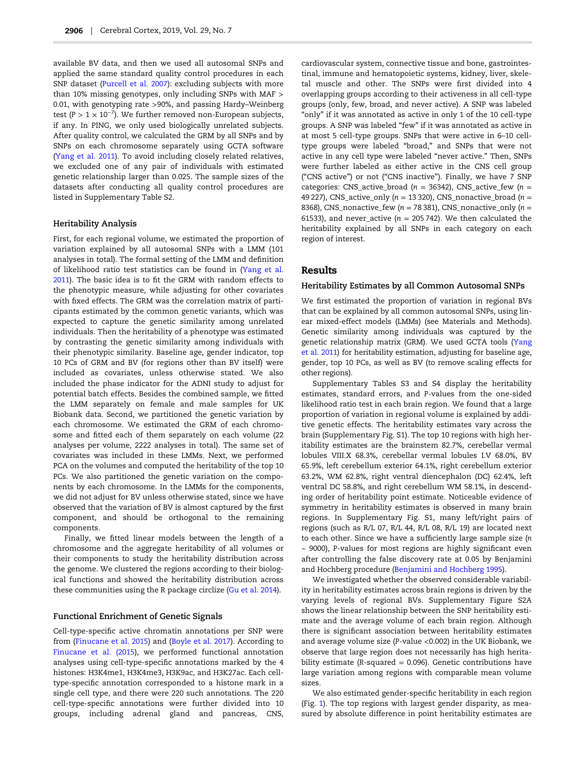available BV data, and then we used all autosomal SNPs and applied the same standard quality control procedures in each SNP dataset ([Purcell et al. 2007](#page-9-0)): excluding subjects with more than 10% missing genotypes, only including SNPs with MAF > 0.01, with genotyping rate >90%, and passing Hardy–Weinberg test (P > 1  $\times$  10<sup>-7</sup>). We further removed non-European subjects, if any. In PING, we only used biologically unrelated subjects. After quality control, we calculated the GRM by all SNPs and by SNPs on each chromosome separately using GCTA software [\(Yang et al. 2011\)](#page-10-0). To avoid including closely related relatives, we excluded one of any pair of individuals with estimated genetic relationship larger than 0.025. The sample sizes of the datasets after conducting all quality control procedures are listed in Supplementary Table S2.

#### Heritability Analysis

First, for each regional volume, we estimated the proportion of variation explained by all autosomal SNPs with a LMM (101 analyses in total). The formal setting of the LMM and definition of likelihood ratio test statistics can be found in [\(Yang et al.](#page-10-0) [2011\)](#page-10-0). The basic idea is to fit the GRM with random effects to the phenotypic measure, while adjusting for other covariates with fixed effects. The GRM was the correlation matrix of participants estimated by the common genetic variants, which was expected to capture the genetic similarity among unrelated individuals. Then the heritability of a phenotype was estimated by contrasting the genetic similarity among individuals with their phenotypic similarity. Baseline age, gender indicator, top 10 PCs of GRM and BV (for regions other than BV itself) were included as covariates, unless otherwise stated. We also included the phase indicator for the ADNI study to adjust for potential batch effects. Besides the combined sample, we fitted the LMM separately on female and male samples for UK Biobank data. Second, we partitioned the genetic variation by each chromosome. We estimated the GRM of each chromosome and fitted each of them separately on each volume (22 analyses per volume, 2222 analyses in total). The same set of covariates was included in these LMMs. Next, we performed PCA on the volumes and computed the heritability of the top 10 PCs. We also partitioned the genetic variation on the components by each chromosome. In the LMMs for the components, we did not adjust for BV unless otherwise stated, since we have observed that the variation of BV is almost captured by the first component, and should be orthogonal to the remaining components.

Finally, we fitted linear models between the length of a chromosome and the aggregate heritability of all volumes or their components to study the heritability distribution across the genome. We clustered the regions according to their biological functions and showed the heritability distribution across these communities using the R package circlize [\(Gu et al. 2014](#page-9-0)).

#### Functional Enrichment of Genetic Signals

Cell-type-specific active chromatin annotations per SNP were from ([Finucane et al. 2015](#page-9-0)) and [\(Boyle et al. 2017](#page-8-0)). According to [Finucane et al. \(2015\)](#page-9-0), we performed functional annotation analyses using cell-type-specific annotations marked by the 4 histones: H3K4me1, H3K4me3, H3K9ac, and H3K27ac. Each celltype-specific annotation corresponded to a histone mark in a single cell type, and there were 220 such annotations. The 220 cell-type-specific annotations were further divided into 10 groups, including adrenal gland and pancreas, CNS,

cardiovascular system, connective tissue and bone, gastrointestinal, immune and hematopoietic systems, kidney, liver, skeletal muscle and other. The SNPs were first divided into 4 overlapping groups according to their activeness in all cell-type groups (only, few, broad, and never active). A SNP was labeled "only" if it was annotated as active in only 1 of the 10 cell-type groups. A SNP was labeled "few" if it was annotated as active in at most 5 cell-type groups. SNPs that were active in 6–10 celltype groups were labeled "broad," and SNPs that were not active in any cell type were labeled "never active." Then, SNPs were further labeled as either active in the CNS cell group ("CNS active") or not ("CNS inactive"). Finally, we have 7 SNP categories: CNS\_active\_broad ( $n = 36342$ ), CNS\_active\_few ( $n =$ 49 227), CNS\_active\_only ( $n = 13$  320), CNS\_nonactive\_broad ( $n =$ 8368), CNS\_nonactive\_few ( $n = 78$  381), CNS\_nonactive\_only ( $n =$ 61533), and never\_active ( $n = 205742$ ). We then calculated the heritability explained by all SNPs in each category on each region of interest.

#### Results

#### Heritability Estimates by all Common Autosomal SNPs

We first estimated the proportion of variation in regional BVs that can be explained by all common autosomal SNPs, using linear mixed-effect models (LMMs) (see Materials and Methods). Genetic similarity among individuals was captured by the genetic relationship matrix (GRM). We used GCTA tools [\(Yang](#page-10-0) [et al. 2011](#page-10-0)) for heritability estimation, adjusting for baseline age, gender, top 10 PCs, as well as BV (to remove scaling effects for other regions).

Supplementary Tables S3 and S4 display the heritability estimates, standard errors, and P-values from the one-sided likelihood ratio test in each brain region. We found that a large proportion of variation in regional volume is explained by additive genetic effects. The heritability estimates vary across the brain (Supplementary Fig. S1). The top 10 regions with high heritability estimates are the brainstem 82.7%, cerebellar vermal lobules VIII.X 68.3%, cerebellar vermal lobules I.V 68.0%, BV 65.9%, left cerebellum exterior 64.1%, right cerebellum exterior 63.2%, WM 62.8%, right ventral diencephalon (DC) 62.4%, left ventral DC 58.8%, and right cerebellum WM 58.1%, in descending order of heritability point estimate. Noticeable evidence of symmetry in heritability estimates is observed in many brain regions. In Supplementary Fig. S1, many left/right pairs of regions (such as R/L 07, R/L 44, R/L 08, R/L 19) are located next to each other. Since we have a sufficiently large sample size (n ~ 9000), P-values for most regions are highly significant even after controlling the false discovery rate at 0.05 by Benjamini and Hochberg procedure ([Benjamini and Hochberg 1995](#page-8-0)).

We investigated whether the observed considerable variability in heritability estimates across brain regions is driven by the varying levels of regional BVs. Supplementary Figure S2A shows the linear relationship between the SNP heritability estimate and the average volume of each brain region. Although there is significant association between heritability estimates and average volume size (P-value <0.002) in the UK Biobank, we observe that large region does not necessarily has high heritability estimate (R-squared  $= 0.096$ ). Genetic contributions have large variation among regions with comparable mean volume sizes.

We also estimated gender-specific heritability in each region (Fig. [1](#page-3-0)). The top regions with largest gender disparity, as measured by absolute difference in point heritability estimates are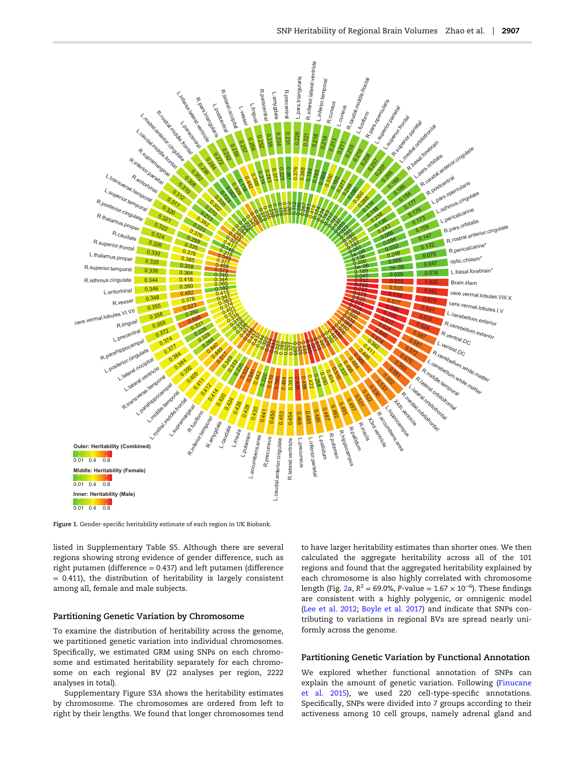<span id="page-3-0"></span>

Figure 1. Gender-specific heritability estimate of each region in UK Biobank.

listed in Supplementary Table S5. Although there are several regions showing strong evidence of gender difference, such as right putamen (difference = 0.437) and left putamen (difference = 0.411), the distribution of heritability is largely consistent among all, female and male subjects.

#### Partitioning Genetic Variation by Chromosome

To examine the distribution of heritability across the genome, we partitioned genetic variation into individual chromosomes. Specifically, we estimated GRM using SNPs on each chromosome and estimated heritability separately for each chromosome on each regional BV (22 analyses per region, 2222 analyses in total).

Supplementary Figure S3A shows the heritability estimates by chromosome. The chromosomes are ordered from left to right by their lengths. We found that longer chromosomes tend

to have larger heritability estimates than shorter ones. We then calculated the aggregate heritability across all of the 101 regions and found that the aggregated heritability explained by each chromosome is also highly correlated with chromosome length (Fig. [2](#page-4-0)a, R $^2$  = 69.0%, P-value = 1.67  $\times$  10 $^{-6}$ ). These findings are consistent with a highly polygenic, or omnigenic model [\(Lee et al. 2012](#page-9-0); [Boyle et al. 2017\)](#page-8-0) and indicate that SNPs contributing to variations in regional BVs are spread nearly uniformly across the genome.

#### Partitioning Genetic Variation by Functional Annotation

We explored whether functional annotation of SNPs can explain the amount of genetic variation. Following [\(Finucane](#page-9-0) [et al. 2015](#page-9-0)), we used 220 cell-type-specific annotations. Specifically, SNPs were divided into 7 groups according to their activeness among 10 cell groups, namely adrenal gland and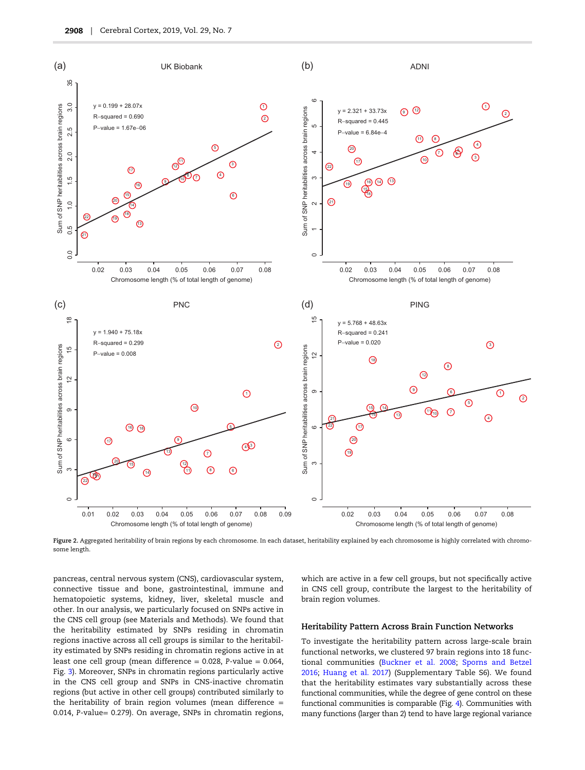<span id="page-4-0"></span>

Figure 2. Aggregated heritability of brain regions by each chromosome. In each dataset, heritability explained by each chromosome is highly correlated with chromosome length.

pancreas, central nervous system (CNS), cardiovascular system, connective tissue and bone, gastrointestinal, immune and hematopoietic systems, kidney, liver, skeletal muscle and other. In our analysis, we particularly focused on SNPs active in the CNS cell group (see Materials and Methods). We found that the heritability estimated by SNPs residing in chromatin regions inactive across all cell groups is similar to the heritability estimated by SNPs residing in chromatin regions active in at least one cell group (mean difference = 0.028, P-value = 0.064, Fig. [3](#page-5-0)). Moreover, SNPs in chromatin regions particularly active in the CNS cell group and SNPs in CNS-inactive chromatin regions (but active in other cell groups) contributed similarly to the heritability of brain region volumes (mean difference = 0.014, P-value= 0.279). On average, SNPs in chromatin regions,

which are active in a few cell groups, but not specifically active in CNS cell group, contribute the largest to the heritability of brain region volumes.

#### Heritability Pattern Across Brain Function Networks

To investigate the heritability pattern across large-scale brain functional networks, we clustered 97 brain regions into 18 functional communities [\(Buckner et al. 2008;](#page-8-0) [Sporns and Betzel](#page-10-0) [2016;](#page-10-0) [Huang et al. 2017\)](#page-9-0) (Supplementary Table S6). We found that the heritability estimates vary substantially across these functional communities, while the degree of gene control on these functional communities is comparable (Fig. [4\)](#page-6-0). Communities with many functions (larger than 2) tend to have large regional variance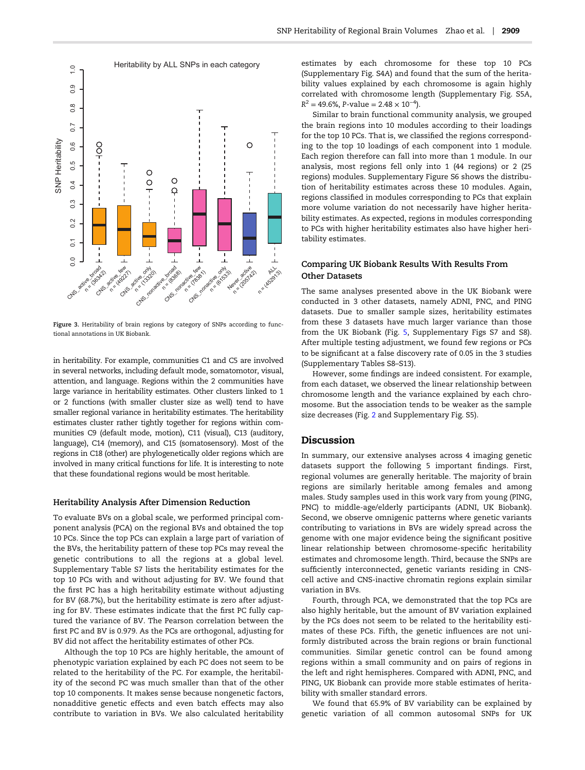<span id="page-5-0"></span>

Similar to brain functional community analysis, we grouped

the brain regions into 10 modules according to their loadings for the top 10 PCs. That is, we classified the regions corresponding to the top 10 loadings of each component into 1 module. Each region therefore can fall into more than 1 module. In our analysis, most regions fell only into 1 (44 regions) or 2 (25 regions) modules. Supplementary Figure S6 shows the distribution of heritability estimates across these 10 modules. Again, regions classified in modules corresponding to PCs that explain more volume variation do not necessarily have higher heritability estimates. As expected, regions in modules corresponding to PCs with higher heritability estimates also have higher heritability estimates.

estimates by each chromosome for these top 10 PCs (Supplementary Fig. S4A) and found that the sum of the heritability values explained by each chromosome is again highly correlated with chromosome length (Supplementary Fig. S5A,

## Comparing UK Biobank Results With Results From Other Datasets

The same analyses presented above in the UK Biobank were conducted in 3 other datasets, namely ADNI, PNC, and PING datasets. Due to smaller sample sizes, heritability estimates from these 3 datasets have much larger variance than those from the UK Biobank (Fig. [5,](#page-7-0) Supplementary Figs S7 and S8). After multiple testing adjustment, we found few regions or PCs to be significant at a false discovery rate of 0.05 in the 3 studies (Supplementary Tables S8–S13).

However, some findings are indeed consistent. For example, from each dataset, we observed the linear relationship between chromosome length and the variance explained by each chromosome. But the association tends to be weaker as the sample size decreases (Fig. [2](#page-4-0) and Supplementary Fig. S5).

## Discussion

In summary, our extensive analyses across 4 imaging genetic datasets support the following 5 important findings. First, regional volumes are generally heritable. The majority of brain regions are similarly heritable among females and among males. Study samples used in this work vary from young (PING, PNC) to middle-age/elderly participants (ADNI, UK Biobank). Second, we observe omnigenic patterns where genetic variants contributing to variations in BVs are widely spread across the genome with one major evidence being the significant positive linear relationship between chromosome-specific heritability estimates and chromosome length. Third, because the SNPs are sufficiently interconnected, genetic variants residing in CNScell active and CNS-inactive chromatin regions explain similar variation in BVs.

Fourth, through PCA, we demonstrated that the top PCs are also highly heritable, but the amount of BV variation explained by the PCs does not seem to be related to the heritability estimates of these PCs. Fifth, the genetic influences are not uniformly distributed across the brain regions or brain functional communities. Similar genetic control can be found among regions within a small community and on pairs of regions in the left and right hemispheres. Compared with ADNI, PNC, and PING, UK Biobank can provide more stable estimates of heritability with smaller standard errors.

We found that 65.9% of BV variability can be explained by genetic variation of all common autosomal SNPs for UK

Figure 3. Heritability of brain regions by category of SNPs according to functional annotations in UK Biobank.

in heritability. For example, communities C1 and C5 are involved in several networks, including default mode, somatomotor, visual, attention, and language. Regions within the 2 communities have large variance in heritability estimates. Other clusters linked to 1 or 2 functions (with smaller cluster size as well) tend to have smaller regional variance in heritability estimates. The heritability estimates cluster rather tightly together for regions within communities C9 (default mode, motion), C11 (visual), C13 (auditory, language), C14 (memory), and C15 (somatosensory). Most of the regions in C18 (other) are phylogenetically older regions which are involved in many critical functions for life. It is interesting to note that these foundational regions would be most heritable.

#### Heritability Analysis After Dimension Reduction

To evaluate BVs on a global scale, we performed principal component analysis (PCA) on the regional BVs and obtained the top 10 PCs. Since the top PCs can explain a large part of variation of the BVs, the heritability pattern of these top PCs may reveal the genetic contributions to all the regions at a global level. Supplementary Table S7 lists the heritability estimates for the top 10 PCs with and without adjusting for BV. We found that the first PC has a high heritability estimate without adjusting for BV (68.7%), but the heritability estimate is zero after adjusting for BV. These estimates indicate that the first PC fully captured the variance of BV. The Pearson correlation between the first PC and BV is 0.979. As the PCs are orthogonal, adjusting for BV did not affect the heritability estimates of other PCs.

Although the top 10 PCs are highly heritable, the amount of phenotypic variation explained by each PC does not seem to be related to the heritability of the PC. For example, the heritability of the second PC was much smaller than that of the other top 10 components. It makes sense because nongenetic factors, nonadditive genetic effects and even batch effects may also contribute to variation in BVs. We also calculated heritability

 $R^2 = 49.6\%, P\text{-value} = 2.48 \times 10^{-4}$ ).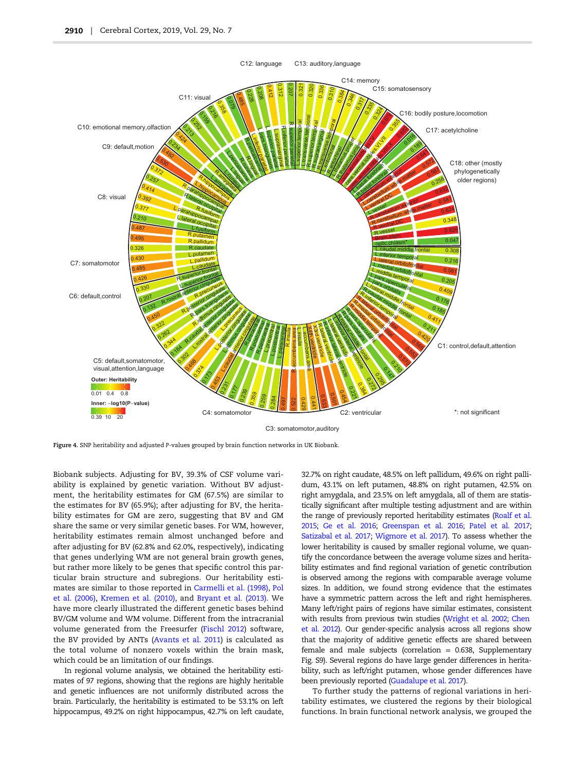<span id="page-6-0"></span>

Figure 4. SNP heritability and adjusted P-values grouped by brain function networks in UK Biobank.

Biobank subjects. Adjusting for BV, 39.3% of CSF volume variability is explained by genetic variation. Without BV adjustment, the heritability estimates for GM (67.5%) are similar to the estimates for BV (65.9%); after adjusting for BV, the heritability estimates for GM are zero, suggesting that BV and GM share the same or very similar genetic bases. For WM, however, heritability estimates remain almost unchanged before and after adjusting for BV (62.8% and 62.0%, respectively), indicating that genes underlying WM are not general brain growth genes, but rather more likely to be genes that specific control this particular brain structure and subregions. Our heritability estimates are similar to those reported in [Carmelli et al. \(1998\)](#page-9-0), [Pol](#page-9-0) [et al. \(2006\)](#page-9-0), [Kremen et al. \(2010\),](#page-9-0) and [Bryant et al. \(2013\).](#page-8-0) We have more clearly illustrated the different genetic bases behind BV/GM volume and WM volume. Different from the intracranial volume generated from the Freesurfer [\(Fischl 2012\)](#page-9-0) software, the BV provided by ANTs [\(Avants et al. 2011](#page-8-0)) is calculated as the total volume of nonzero voxels within the brain mask, which could be an limitation of our findings.

In regional volume analysis, we obtained the heritability estimates of 97 regions, showing that the regions are highly heritable and genetic influences are not uniformly distributed across the brain. Particularly, the heritability is estimated to be 53.1% on left hippocampus, 49.2% on right hippocampus, 42.7% on left caudate, 32.7% on right caudate, 48.5% on left pallidum, 49.6% on right pallidum, 43.1% on left putamen, 48.8% on right putamen, 42.5% on right amygdala, and 23.5% on left amygdala, all of them are statistically significant after multiple testing adjustment and are within the range of previously reported heritability estimates [\(Roalf et al.](#page-9-0) [2015;](#page-9-0) [Ge et al. 2016;](#page-9-0) [Greenspan et al. 2016](#page-9-0); [Patel et al. 2017;](#page-9-0) [Satizabal et al. 2017](#page-9-0); [Wigmore et al. 2017](#page-10-0)). To assess whether the lower heritability is caused by smaller regional volume, we quantify the concordance between the average volume sizes and heritability estimates and find regional variation of genetic contribution is observed among the regions with comparable average volume sizes. In addition, we found strong evidence that the estimates have a symmetric pattern across the left and right hemispheres. Many left/right pairs of regions have similar estimates, consistent with results from previous twin studies [\(Wright et al. 2002;](#page-10-0) [Chen](#page-9-0) [et al. 2012](#page-9-0)). Our gender-specific analysis across all regions show that the majority of additive genetic effects are shared between female and male subjects (correlation  $= 0.638$ , Supplementary Fig. S9). Several regions do have large gender differences in heritability, such as left/right putamen, whose gender differences have been previously reported ([Guadalupe et al. 2017\)](#page-9-0).

To further study the patterns of regional variations in heritability estimates, we clustered the regions by their biological functions. In brain functional network analysis, we grouped the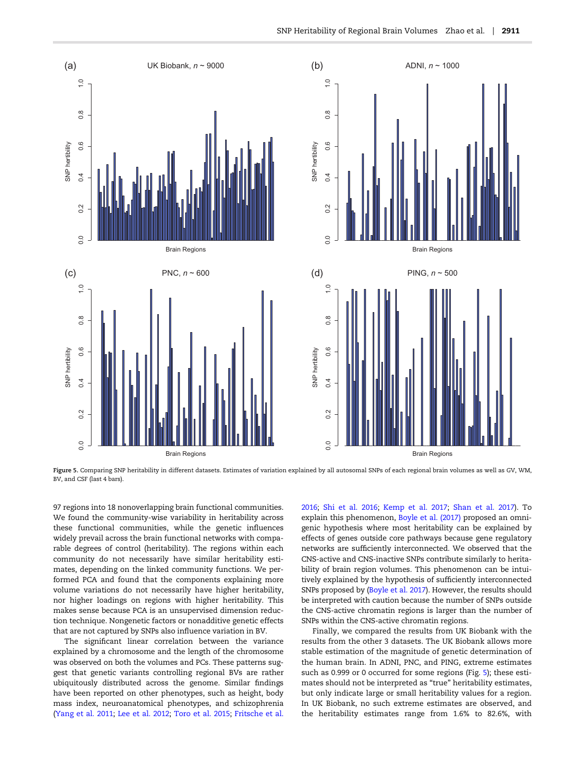<span id="page-7-0"></span>

Figure 5. Comparing SNP heritability in different datasets. Estimates of variation explained by all autosomal SNPs of each regional brain volumes as well as GV, WM, BV, and CSF (last 4 bars).

97 regions into 18 nonoverlapping brain functional communities. We found the community-wise variability in heritability across these functional communities, while the genetic influences widely prevail across the brain functional networks with comparable degrees of control (heritability). The regions within each community do not necessarily have similar heritability estimates, depending on the linked community functions. We performed PCA and found that the components explaining more volume variations do not necessarily have higher heritability, nor higher loadings on regions with higher heritability. This makes sense because PCA is an unsupervised dimension reduction technique. Nongenetic factors or nonadditive genetic effects that are not captured by SNPs also influence variation in BV.

The significant linear correlation between the variance explained by a chromosome and the length of the chromosome was observed on both the volumes and PCs. These patterns suggest that genetic variants controlling regional BVs are rather ubiquitously distributed across the genome. Similar findings have been reported on other phenotypes, such as height, body mass index, neuroanatomical phenotypes, and schizophrenia [\(Yang et al. 2011;](#page-10-0) [Lee et al. 2012;](#page-9-0) [Toro et al. 2015;](#page-10-0) [Fritsche et al.](#page-9-0)

[2016](#page-9-0); [Shi et al. 2016](#page-10-0); [Kemp et al. 2017](#page-9-0); [Shan et al. 2017](#page-10-0)). To explain this phenomenon, [Boyle et al. \(2017\)](#page-8-0) proposed an omnigenic hypothesis where most heritability can be explained by effects of genes outside core pathways because gene regulatory networks are sufficiently interconnected. We observed that the CNS-active and CNS-inactive SNPs contribute similarly to heritability of brain region volumes. This phenomenon can be intuitively explained by the hypothesis of sufficiently interconnected SNPs proposed by ([Boyle et al. 2017](#page-8-0)). However, the results should be interpreted with caution because the number of SNPs outside the CNS-active chromatin regions is larger than the number of SNPs within the CNS-active chromatin regions.

Finally, we compared the results from UK Biobank with the results from the other 3 datasets. The UK Biobank allows more stable estimation of the magnitude of genetic determination of the human brain. In ADNI, PNC, and PING, extreme estimates such as 0.999 or 0 occurred for some regions (Fig. 5); these estimates should not be interpreted as "true" heritability estimates, but only indicate large or small heritability values for a region. In UK Biobank, no such extreme estimates are observed, and the heritability estimates range from 1.6% to 82.6%, with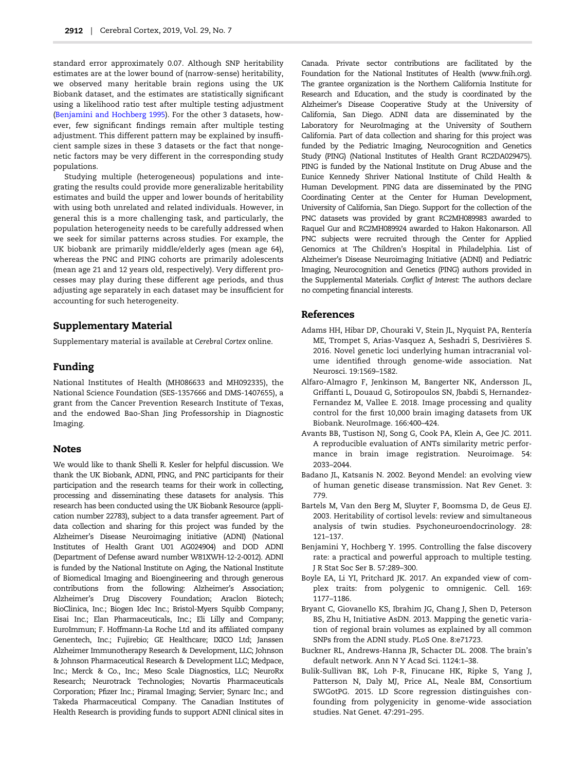<span id="page-8-0"></span>standard error approximately 0.07. Although SNP heritability estimates are at the lower bound of (narrow-sense) heritability, we observed many heritable brain regions using the UK Biobank dataset, and the estimates are statistically significant using a likelihood ratio test after multiple testing adjustment (Benjamini and Hochberg 1995). For the other 3 datasets, however, few significant findings remain after multiple testing adjustment. This different pattern may be explained by insufficient sample sizes in these 3 datasets or the fact that nongenetic factors may be very different in the corresponding study populations.

Studying multiple (heterogeneous) populations and integrating the results could provide more generalizable heritability estimates and build the upper and lower bounds of heritability with using both unrelated and related individuals. However, in general this is a more challenging task, and particularly, the population heterogeneity needs to be carefully addressed when we seek for similar patterns across studies. For example, the UK biobank are primarily middle/elderly ages (mean age 64), whereas the PNC and PING cohorts are primarily adolescents (mean age 21 and 12 years old, respectively). Very different processes may play during these different age periods, and thus adjusting age separately in each dataset may be insufficient for accounting for such heterogeneity.

### Supplementary Material

Supplementary material is available at Cerebral Cortex online.

#### Funding

National Institutes of Health (MH086633 and MH092335), the National Science Foundation (SES-1357666 and DMS-1407655), a grant from the Cancer Prevention Research Institute of Texas, and the endowed Bao-Shan Jing Professorship in Diagnostic Imaging.

#### **Notes**

We would like to thank Shelli R. Kesler for helpful discussion. We thank the UK Biobank, ADNI, PING, and PNC participants for their participation and the research teams for their work in collecting, processing and disseminating these datasets for analysis. This research has been conducted using the UK Biobank Resource (application number 22783), subject to a data transfer agreement. Part of data collection and sharing for this project was funded by the Alzheimer's Disease Neuroimaging initiative (ADNI) (National Institutes of Health Grant U01 AG024904) and DOD ADNI (Department of Defense award number W81XWH-12-2-0012). ADNI is funded by the National Institute on Aging, the National Institute of Biomedical Imaging and Bioengineering and through generous contributions from the following: Alzheimer's Association; Alzheimer's Drug Discovery Foundation; Araclon Biotech; BioClinica, Inc.; Biogen Idec Inc.; Bristol-Myers Squibb Company; Eisai Inc.; Elan Pharmaceuticals, Inc.; Eli Lilly and Company; EuroImmun; F. Hoffmann-La Roche Ltd and its affiliated company Genentech, Inc.; Fujirebio; GE Healthcare; IXICO Ltd; Janssen Alzheimer Immunotherapy Research & Development, LLC; Johnson & Johnson Pharmaceutical Research & Development LLC; Medpace, Inc.; Merck & Co., Inc.; Meso Scale Diagnostics, LLC; NeuroRx Research; Neurotrack Technologies; Novartis Pharmaceuticals Corporation; Pfizer Inc.; Piramal Imaging; Servier; Synarc Inc.; and Takeda Pharmaceutical Company. The Canadian Institutes of Health Research is providing funds to support ADNI clinical sites in

Canada. Private sector contributions are facilitated by the Foundation for the National Institutes of Health (www.fnih.org). The grantee organization is the Northern California Institute for Research and Education, and the study is coordinated by the Alzheimer's Disease Cooperative Study at the University of California, San Diego. ADNI data are disseminated by the Laboratory for NeuroImaging at the University of Southern California. Part of data collection and sharing for this project was funded by the Pediatric Imaging, Neurocognition and Genetics Study (PING) (National Institutes of Health Grant RC2DA029475). PING is funded by the National Institute on Drug Abuse and the Eunice Kennedy Shriver National Institute of Child Health & Human Development. PING data are disseminated by the PING Coordinating Center at the Center for Human Development, University of California, San Diego. Support for the collection of the PNC datasets was provided by grant RC2MH089983 awarded to Raquel Gur and RC2MH089924 awarded to Hakon Hakonarson. All PNC subjects were recruited through the Center for Applied Genomics at The Children's Hospital in Philadelphia. List of Alzheimer's Disease Neuroimaging Initiative (ADNI) and Pediatric Imaging, Neurocognition and Genetics (PING) authors provided in the Supplemental Materials. Conflict of Interest: The authors declare no competing financial interests.

#### References

- Adams HH, Hibar DP, Chouraki V, Stein JL, Nyquist PA, Rentería ME, Trompet S, Arias-Vasquez A, Seshadri S, Desrivières S. 2016. Novel genetic loci underlying human intracranial volume identified through genome-wide association. Nat Neurosci. 19:1569–1582.
- Alfaro-Almagro F, Jenkinson M, Bangerter NK, Andersson JL, Griffanti L, Douaud G, Sotiropoulos SN, Jbabdi S, Hernandez-Fernandez M, Vallee E. 2018. Image processing and quality control for the first 10,000 brain imaging datasets from UK Biobank. NeuroImage. 166:400–424.
- Avants BB, Tustison NJ, Song G, Cook PA, Klein A, Gee JC. 2011. A reproducible evaluation of ANTs similarity metric performance in brain image registration. Neuroimage. 54: 2033–2044.
- Badano JL, Katsanis N. 2002. Beyond Mendel: an evolving view of human genetic disease transmission. Nat Rev Genet. 3: 779.
- Bartels M, Van den Berg M, Sluyter F, Boomsma D, de Geus EJ. 2003. Heritability of cortisol levels: review and simultaneous analysis of twin studies. Psychoneuroendocrinology. 28: 121–137.
- Benjamini Y, Hochberg Y. 1995. Controlling the false discovery rate: a practical and powerful approach to multiple testing. J R Stat Soc Ser B. 57:289–300.
- Boyle EA, Li YI, Pritchard JK. 2017. An expanded view of complex traits: from polygenic to omnigenic. Cell. 169: 1177–1186.
- Bryant C, Giovanello KS, Ibrahim JG, Chang J, Shen D, Peterson BS, Zhu H, Initiative AsDN. 2013. Mapping the genetic variation of regional brain volumes as explained by all common SNPs from the ADNI study. PLoS One. 8:e71723.
- Buckner RL, Andrews‐Hanna JR, Schacter DL. 2008. The brain's default network. Ann N Y Acad Sci. 1124:1–38.
- Bulik-Sullivan BK, Loh P-R, Finucane HK, Ripke S, Yang J, Patterson N, Daly MJ, Price AL, Neale BM, Consortium SWGotPG. 2015. LD Score regression distinguishes confounding from polygenicity in genome-wide association studies. Nat Genet. 47:291–295.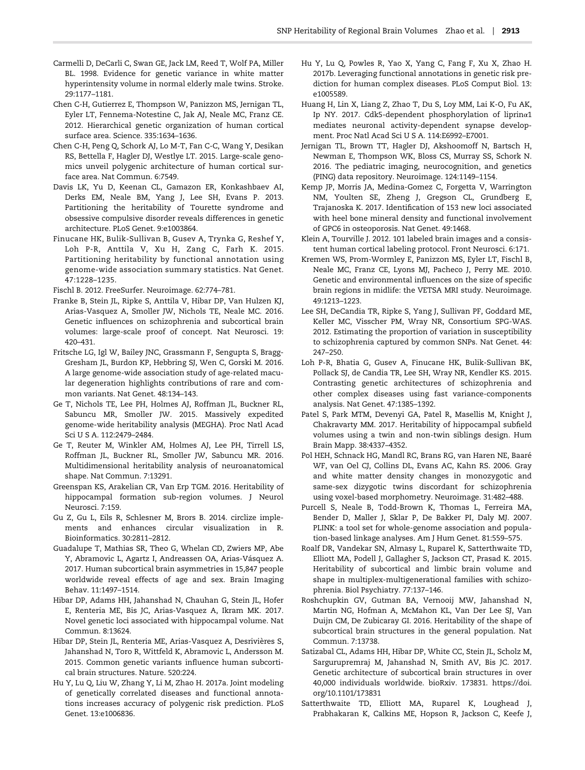- <span id="page-9-0"></span>Carmelli D, DeCarli C, Swan GE, Jack LM, Reed T, Wolf PA, Miller BL. 1998. Evidence for genetic variance in white matter hyperintensity volume in normal elderly male twins. Stroke. 29:1177–1181.
- Chen C-H, Gutierrez E, Thompson W, Panizzon MS, Jernigan TL, Eyler LT, Fennema-Notestine C, Jak AJ, Neale MC, Franz CE. 2012. Hierarchical genetic organization of human cortical surface area. Science. 335:1634–1636.
- Chen C-H, Peng Q, Schork AJ, Lo M-T, Fan C-C, Wang Y, Desikan RS, Bettella F, Hagler DJ, Westlye LT. 2015. Large-scale genomics unveil polygenic architecture of human cortical surface area. Nat Commun. 6:7549.
- Davis LK, Yu D, Keenan CL, Gamazon ER, Konkashbaev AI, Derks EM, Neale BM, Yang J, Lee SH, Evans P. 2013. Partitioning the heritability of Tourette syndrome and obsessive compulsive disorder reveals differences in genetic architecture. PLoS Genet. 9:e1003864.
- Finucane HK, Bulik-Sullivan B, Gusev A, Trynka G, Reshef Y, Loh P-R, Anttila V, Xu H, Zang C, Farh K. 2015. Partitioning heritability by functional annotation using genome-wide association summary statistics. Nat Genet. 47:1228–1235.
- Fischl B. 2012. FreeSurfer. Neuroimage. 62:774–781.
- Franke B, Stein JL, Ripke S, Anttila V, Hibar DP, Van Hulzen KJ, Arias-Vasquez A, Smoller JW, Nichols TE, Neale MC. 2016. Genetic influences on schizophrenia and subcortical brain volumes: large-scale proof of concept. Nat Neurosci. 19: 420–431.
- Fritsche LG, Igl W, Bailey JNC, Grassmann F, Sengupta S, Bragg-Gresham JL, Burdon KP, Hebbring SJ, Wen C, Gorski M. 2016. A large genome-wide association study of age-related macular degeneration highlights contributions of rare and common variants. Nat Genet. 48:134–143.
- Ge T, Nichols TE, Lee PH, Holmes AJ, Roffman JL, Buckner RL, Sabuncu MR, Smoller JW. 2015. Massively expedited genome-wide heritability analysis (MEGHA). Proc Natl Acad Sci U S A. 112:2479–2484.
- Ge T, Reuter M, Winkler AM, Holmes AJ, Lee PH, Tirrell LS, Roffman JL, Buckner RL, Smoller JW, Sabuncu MR. 2016. Multidimensional heritability analysis of neuroanatomical shape. Nat Commun. 7:13291.
- Greenspan KS, Arakelian CR, Van Erp TGM. 2016. Heritability of hippocampal formation sub-region volumes. J Neurol Neurosci. 7:159.
- Gu Z, Gu L, Eils R, Schlesner M, Brors B. 2014. circlize implements and enhances circular visualization in R. Bioinformatics. 30:2811–2812.
- Guadalupe T, Mathias SR, Theo G, Whelan CD, Zwiers MP, Abe Y, Abramovic L, Agartz I, Andreassen OA, Arias-Vásquez A. 2017. Human subcortical brain asymmetries in 15,847 people worldwide reveal effects of age and sex. Brain Imaging Behav. 11:1497–1514.
- Hibar DP, Adams HH, Jahanshad N, Chauhan G, Stein JL, Hofer E, Renteria ME, Bis JC, Arias-Vasquez A, Ikram MK. 2017. Novel genetic loci associated with hippocampal volume. Nat Commun. 8:13624.
- Hibar DP, Stein JL, Renteria ME, Arias-Vasquez A, Desrivières S, Jahanshad N, Toro R, Wittfeld K, Abramovic L, Andersson M. 2015. Common genetic variants influence human subcortical brain structures. Nature. 520:224.
- Hu Y, Lu Q, Liu W, Zhang Y, Li M, Zhao H. 2017a. Joint modeling of genetically correlated diseases and functional annotations increases accuracy of polygenic risk prediction. PLoS Genet. 13:e1006836.
- Hu Y, Lu Q, Powles R, Yao X, Yang C, Fang F, Xu X, Zhao H. 2017b. Leveraging functional annotations in genetic risk prediction for human complex diseases. PLoS Comput Biol. 13: e1005589.
- Huang H, Lin X, Liang Z, Zhao T, Du S, Loy MM, Lai K-O, Fu AK, Ip NY. 2017. Cdk5-dependent phosphorylation of liprinα1 mediates neuronal activity-dependent synapse development. Proc Natl Acad Sci U S A. 114:E6992–E7001.
- Jernigan TL, Brown TT, Hagler DJ, Akshoomoff N, Bartsch H, Newman E, Thompson WK, Bloss CS, Murray SS, Schork N. 2016. The pediatric imaging, neurocognition, and genetics (PING) data repository. Neuroimage. 124:1149–1154.
- Kemp JP, Morris JA, Medina-Gomez C, Forgetta V, Warrington NM, Youlten SE, Zheng J, Gregson CL, Grundberg E, Trajanoska K. 2017. Identification of 153 new loci associated with heel bone mineral density and functional involvement of GPC6 in osteoporosis. Nat Genet. 49:1468.
- Klein A, Tourville J. 2012. 101 labeled brain images and a consistent human cortical labeling protocol. Front Neurosci. 6:171.
- Kremen WS, Prom-Wormley E, Panizzon MS, Eyler LT, Fischl B, Neale MC, Franz CE, Lyons MJ, Pacheco J, Perry ME. 2010. Genetic and environmental influences on the size of specific brain regions in midlife: the VETSA MRI study. Neuroimage. 49:1213–1223.
- Lee SH, DeCandia TR, Ripke S, Yang J, Sullivan PF, Goddard ME, Keller MC, Visscher PM, Wray NR, Consortium SPG-WAS. 2012. Estimating the proportion of variation in susceptibility to schizophrenia captured by common SNPs. Nat Genet. 44: 247–250.
- Loh P-R, Bhatia G, Gusev A, Finucane HK, Bulik-Sullivan BK, Pollack SJ, de Candia TR, Lee SH, Wray NR, Kendler KS. 2015. Contrasting genetic architectures of schizophrenia and other complex diseases using fast variance-components analysis. Nat Genet. 47:1385–1392.
- Patel S, Park MTM, Devenyi GA, Patel R, Masellis M, Knight J, Chakravarty MM. 2017. Heritability of hippocampal subfield volumes using a twin and non‐twin siblings design. Hum Brain Mapp. 38:4337–4352.
- Pol HEH, Schnack HG, Mandl RC, Brans RG, van Haren NE, Baaré WF, van Oel CJ, Collins DL, Evans AC, Kahn RS. 2006. Gray and white matter density changes in monozygotic and same-sex dizygotic twins discordant for schizophrenia using voxel-based morphometry. Neuroimage. 31:482–488.
- Purcell S, Neale B, Todd-Brown K, Thomas L, Ferreira MA, Bender D, Maller J, Sklar P, De Bakker PI, Daly MJ. 2007. PLINK: a tool set for whole-genome association and population-based linkage analyses. Am J Hum Genet. 81:559–575.
- Roalf DR, Vandekar SN, Almasy L, Ruparel K, Satterthwaite TD, Elliott MA, Podell J, Gallagher S, Jackson CT, Prasad K. 2015. Heritability of subcortical and limbic brain volume and shape in multiplex-multigenerational families with schizophrenia. Biol Psychiatry. 77:137–146.
- Roshchupkin GV, Gutman BA, Vernooij MW, Jahanshad N, Martin NG, Hofman A, McMahon KL, Van Der Lee SJ, Van Duijn CM, De Zubicaray GI. 2016. Heritability of the shape of subcortical brain structures in the general population. Nat Commun. 7:13738.
- Satizabal CL, Adams HH, Hibar DP, White CC, Stein JL, Scholz M, Sargurupremraj M, Jahanshad N, Smith AV, Bis JC. 2017. Genetic architecture of subcortical brain structures in over 40,000 individuals worldwide. bioRxiv. 173831. https://doi. org/10.1101/173831
- Satterthwaite TD, Elliott MA, Ruparel K, Loughead J, Prabhakaran K, Calkins ME, Hopson R, Jackson C, Keefe J,